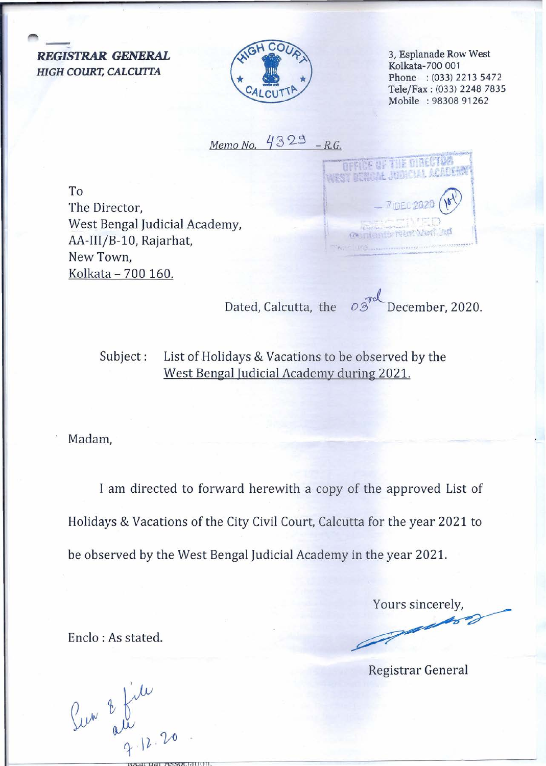*REGISTRAR GENERAL HIGH COURT, CALCUITA*

The Director,

New Town,

West Bengal Judicial Academy,

AA-III/B-10, Rajarhat,

Kolkata - 700 160.

To



3, Esplanade Row West Kolkata-700 001 Phone : (033) 2213 5472 *TelejFax:* (033) 2248 7835 Mobile : 98308 91262

 $Memo No.$   $4329 - R.G.$ 



Dated, Calcutta, the  $\overline{O3}^{\text{rod}}$  December, 2020

Subject: List of Holidays & Vacations to be observed by the West Bengal Judicial Academy during 2021.

Madam,

I am directed to forward herewith a copy of the approved List of Holidays & Vacations of the City Civil Court, Calcutta for the year 2021 to be observed by the West Bengal Judicial Academy in the year 2021.

Enclo : As stated.

Yours sincerely,

Registrar General

**IOCdl oal K."'i."iOl.liiUtJlI.**